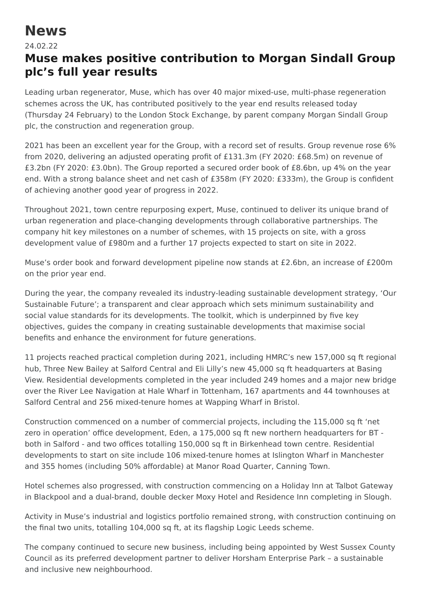## **News**

## 24.02.22

## **Muse makes positive contribution to Morgan Sindall Group plc's full year results**

Leading urban regenerator, Muse, which has over 40 major mixed-use, multi-phase regeneration schemes across the UK, has contributed positively to the year end results released today (Thursday 24 February) to the London Stock Exchange, by parent company Morgan Sindall Group plc, the construction and regeneration group.

2021 has been an excellent year for the Group, with a record set of results. Group revenue rose 6% from 2020, delivering an adjusted operating profit of £131.3m (FY 2020: £68.5m) on revenue of £3.2bn (FY 2020: £3.0bn). The Group reported a secured order book of £8.6bn, up 4% on the year end. With a strong balance sheet and net cash of £358m (FY 2020: £333m), the Group is confident of achieving another good year of progress in 2022.

Throughout 2021, town centre repurposing expert, Muse, continued to deliver its unique brand of urban regeneration and place-changing developments through collaborative partnerships. The company hit key milestones on a number of schemes, with 15 projects on site, with a gross development value of £980m and a further 17 projects expected to start on site in 2022.

Muse's order book and forward development pipeline now stands at £2.6bn, an increase of £200m on the prior year end.

During the year, the company revealed its industry-leading sustainable development strategy, 'Our Sustainable Future'; a transparent and clear approach which sets minimum sustainability and social value standards for its developments. The toolkit, which is underpinned by five key objectives, guides the company in creating sustainable developments that maximise social benefits and enhance the environment for future generations.

11 projects reached practical completion during 2021, including HMRC's new 157,000 sq ft regional hub, Three New Bailey at Salford Central and Eli Lilly's new 45,000 sq ft headquarters at Basing View. Residential developments completed in the year included 249 homes and a major new bridge over the River Lee Navigation at Hale Wharf in Tottenham, 167 apartments and 44 townhouses at Salford Central and 256 mixed-tenure homes at Wapping Wharf in Bristol.

Construction commenced on a number of commercial projects, including the 115,000 sq ft 'net zero in operation' office development, Eden, a 175,000 sq ft new northern headquarters for BT both in Salford - and two offices totalling 150,000 sq ft in Birkenhead town centre. Residential developments to start on site include 106 mixed-tenure homes at Islington Wharf in Manchester and 355 homes (including 50% affordable) at Manor Road Quarter, Canning Town.

Hotel schemes also progressed, with construction commencing on a Holiday Inn at Talbot Gateway in Blackpool and a dual-brand, double decker Moxy Hotel and Residence Inn completing in Slough.

Activity in Muse's industrial and logistics portfolio remained strong, with construction continuing on the final two units, totalling 104,000 sq ft, at its flagship Logic Leeds scheme.

The company continued to secure new business, including being appointed by West Sussex County Council as its preferred development partner to deliver Horsham Enterprise Park – a sustainable and inclusive new neighbourhood.